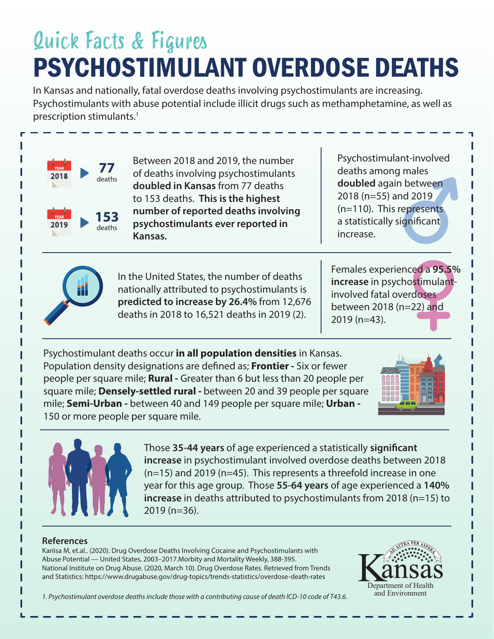## PSYCHOSTIMULANT OVERDOSE DEATHS Quick Facts & Figures

In Kansas and nationally, fatal overdose deaths involving psychostimulants are increasing. Psychostimulants with abuse potential include illicit drugs such as methamphetamine, as well as prescription stimulants.<sup>1</sup>



Between 2018 and 2019, the number of deaths involving psychostimulants doubled in Kansas from 77 deaths to 153 deaths. This is the highest number of reported deaths involving p sy chostimulants ever reported in Kansas.

In the United States, the number of deaths nationally attributed to psychostimulants is predicted to increase by 26.4% from 12,676 deaths in 2018 to 16,521 deaths in 2019 (2).

Psychostimulant-involved deaths among males doubled again between 2018 (n=55) and 2019  $(n=110)$ . This represents a statistically significant increase.

Females experienced a 95.5% increase in psychostimulantinvolved fatal overdoses between 2018 ( $n = 22$ ) and  $2019$  (n=43).

Psychostimulant deaths occur in all population densities in Kansas. Population density designations are defined as; **Frontier** - Six or fewer people per square mile; **Rural -** Greater than 6 but less than 20 people per square mile; **Densely-settled rural** - between 20 and 39 people per square mile; Semi-Urban - between 40 and 149 people per square mile; Urban -150 or more people per square mile.





Those 35-44 years of age experienced a statistically significant increase in psychostimulant involved overdose deaths between 2018  $(n=15)$  and 2019 (n=45). This represents a threefold increase in one year for this age group. Those 55-64 years of age experienced a 140% increase in deaths attributed to psychostimulants from 2018 (n=15) to  $2019$  (n=36).

## **References**

Kariisa M, et.al.. (2020). Drug Overdose Deaths Involving Cocaine and Psychostimulants with Abuse Potential — United States, 2003-2017. Morbity and Mortality Weekly, 388-395. National Institute on Drug Abuse. (2020, March 10). Drug Overdose Rates. Retrieved from Trends and Statistics: https://www.drugabuse.gov/drug-topics/trends-statistics/overdose-death-rates



1. Psychostimulant overdose deaths include those with a contributing cause of death ICD-10 code of T43.6.